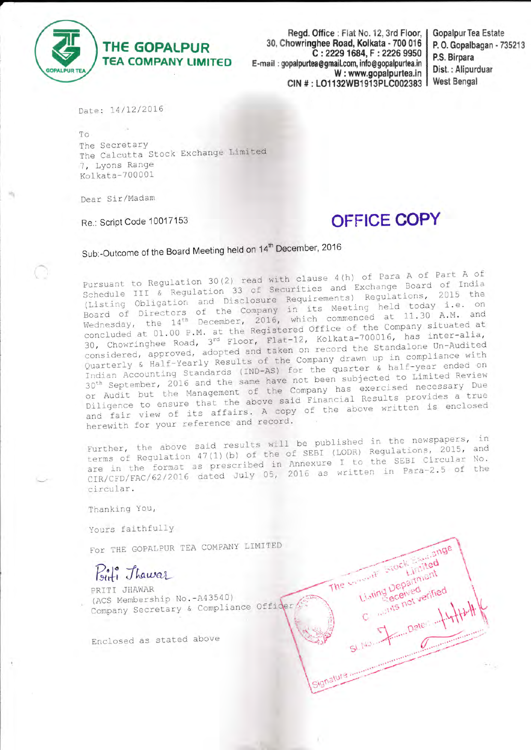

Regd. Office : Flat No. 12, 3rd Floor, | 30, Chowringhee Road, Kolkata - 700 016 C: 2229 1684, F: 2226 9950 E-mail: gopalpurtea@gmail.com, info@gopalpurtea.in W: www.gopalpurtea.in CIN #: LO1132WB1913PLC002383

**Gopalpur Tea Estate** P. O. Gopalbagan - 735213 P.S. Birpara Dist.: Alipurduar **West Bengal** 

Date: 14/12/2016

To. The Secretary The Calcutta Stock Exchange Limited 7, Lyons Range Kolkata-700001

Dear Sir/Madam

Re.: Script Code 10017153

# **OFFICE COPY**

The woman friet from

Signature .....

Listing Department

Limited

with not verified

San Daters and

Sub:-Outcome of the Board Meeting held on 14<sup>th</sup> December, 2016

Pursuant to Regulation 30(2) read with clause 4(h) of Para A of Part A of Schedule III & Regulation 33 of Securities and Exchange Board of India (Listing Obligation and Disclosure Requirements) Regulations, 2015 the Board of Directors of the Company in its Meeting held today i.e. on<br>Wednesday, the 14<sup>th</sup> December, 2016, which commenced at 11.30 A.M. and concluded at 01.00 P.M. at the Registered Office of the Company situated at 30, Chowringhee Road, 3rd Floor, Flat-12, Kolkata-700016, has inter-alia, considered, approved, adopted and taken on record the Standalone Un-Audited Quarterly & Half-Yearly Results of the Company drawn up in compliance with Indian Accounting Standards (IND-AS) for the quarter  $\overline{\alpha}$  half-year ended on 30<sup>th</sup> September, 2016 and the same have not been subjected to Limited Review or Audit but the Management of the Company has exercised necessary Due Diligence to ensure that the above said Financial Results provides a true and fair view of its affairs. A copy of the above written is enclosed herewith for your reference and record.

Further, the above said results will be published in the newspapers, in terms of Regulation 47(1)(b) of the of SEBI (LODR) Regulations, 2015, and are in the format as prescribed in Annexure I to the SEBI Circular No. CIR/CFD/FAC/62/2016 dated July 05, 2016 as written in Para-2.5 of the circular.

Thanking You,

Yours faithfully

For THE GOPALPUR TEA COMPANY LIMITED

Biti Thawar

PRITI JHAWAR (ACS Membership No. - A43540) Company Secretary & Compliance Officer

Enclosed as stated above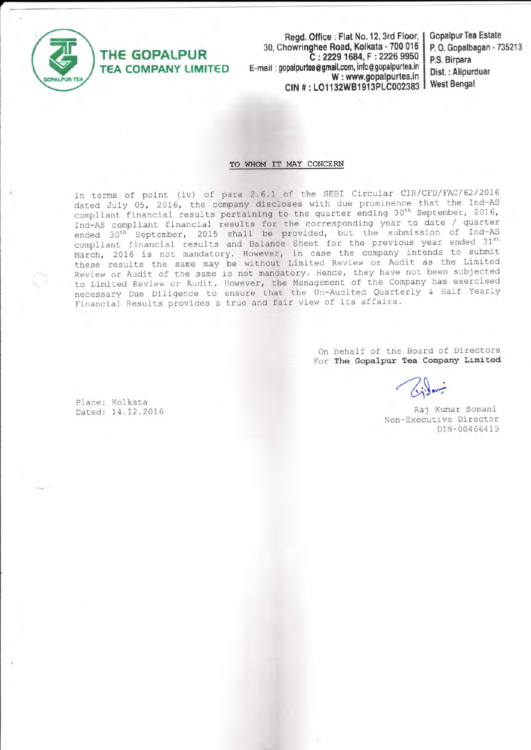

**THE GOPALPUR** 

### Read, Office: Flat No. 12, 3rd Floor, | 30, Chowringhee Road, Kolkata - 700 016 C: 2229 1684, F: 2226 9950 E-mail: gopalpurtea@gmail.com, info@gopalpurtea.in **TEA COMPANY LIMITED** W: www.gopalpurtea.in CIN #: LO1132WB1913PLC002383

**Gopalpur Tea Estate** P. O. Gopalbagan - 735213 P.S. Birpara Dist. : Alipurduar **West Bengal** 

# TO WHOM IT MAY CONCERN

In terms of point (iv) of para 2.6.1 of the SEBI Circular CIR/CFD/FAC/62/2016 dated July 05, 2016, the company discloses with due prominence that the Ind-AS compliant financial results pertaining to the quarter ending 30<sup>th</sup> September, 2016, Ind-AS compliant financial results for the corresponding year to date / quarter ended 30<sup>th</sup> September, 2015 shall be provided, but the submission of Ind-AS compliant financial results and Balance Sheet for the previous year ended 31st March, 2016 is not mandatory. However, in case the company intends to submit these results the same may be without Limited Review or Audit as the Limited Review or Audit of the same is not mandatory. Hence, they have not been subjected to Limited Review or Audit. However, the Management of the Company has exercised necessary Due Diligence to ensure that the Un-Audited Quarterly & Half Yearly Financial Results provides a true and fair view of its affairs.

> On behalf of the Board of Directors For The Gopalpur Tea Company Limited

Place: Kolkata Dated: 14.12.2016

Raj Kumar Somani Non-Executive Director DIN-00466419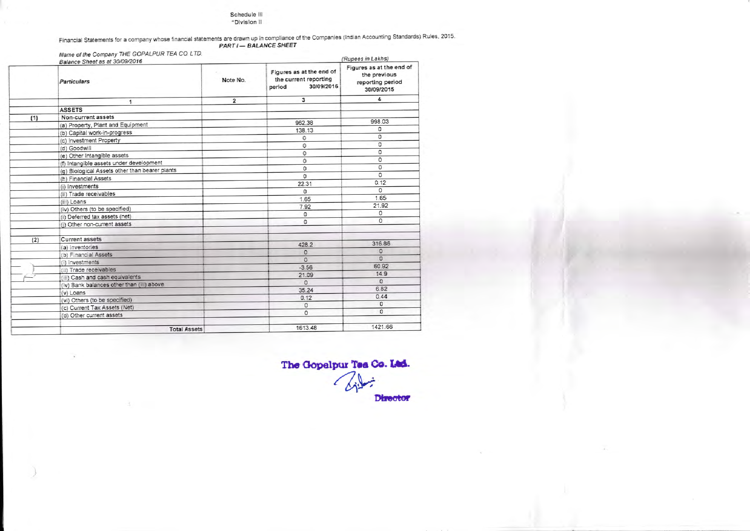#### Schedule III "Division II

Financial Statements for a company whose financial statements are drawn up in compliance of the Companies (Indian Accounting Standards) Rules, 2015. PART I - BALANCE SHEET

Name of the Company THE GOPALPUR TEA CO. LTD. (Rupees in Lakhs) Balance Sheet as at 30/09/2016 Figures as at the end of Figures as at the end of the previous the current reporting Note No. Particulars reporting period 30/09/2016 period 30/09/2015  $\overline{\mathbf{3}}$  $\overline{4}$  $\overline{2}$  $\overline{1}$ ASSETS Non-current assets  $(1)$ 998.03 962.38 (a) Property, Plant and Equipment 138.13  $\circ$ (b) Capital work-in-progress  $\circ$  $\circ$ (c) Investment Property  $\circ$  $\overline{0}$ (d) Goodwill  $\overline{0}$  $\mathbb O$ (e) Other Intangible assets  $\overline{0}$  $\overline{0}$ (f) Intangible assets under development  $\circ$  $\circ$ (g) Biological Assets other than bearer plants  $\overline{0}$  $\circ$ (h) Financial Assets  $0.12$ 22.31 (i) Investments  $\circ$  $\circ$ (iii) Trade receivables 1.65 1.65 (iii) Loans 7.92 21.92 (iv) Others (to be specified)  $\circ$  $\circ$ (ii) Deferred tax assets (net)  $\overline{0}$  $\circ$ (i) Other non-current assets  $(2)$ Current assets 316.86 428.2 (a) Inventories  $\Omega$  $\mathbb O$ (b) Financial Assets  $\overline{0}$  $\mathbb O$ (i) investments 60.92  $-3.56$ (iii) Trade receivables 14.9 21.09 (iii) Cash and cash equivalents  $\overline{0}$  $\circ$ (iv) Bank balances other than (iii) above 6.82 35.24  $(v)$  Loans  $0.44$  $0.12$ (vi) Others (to be specified)  $\overline{0}$  $\mathbb O$ (c) Current Tax Assets (Net)  $\Omega$  $\overline{0}$ (d) Other current assets 1421.66 1613.48 **Total Assets** 

The Gopelpur Tea Co. Ltd. **Director**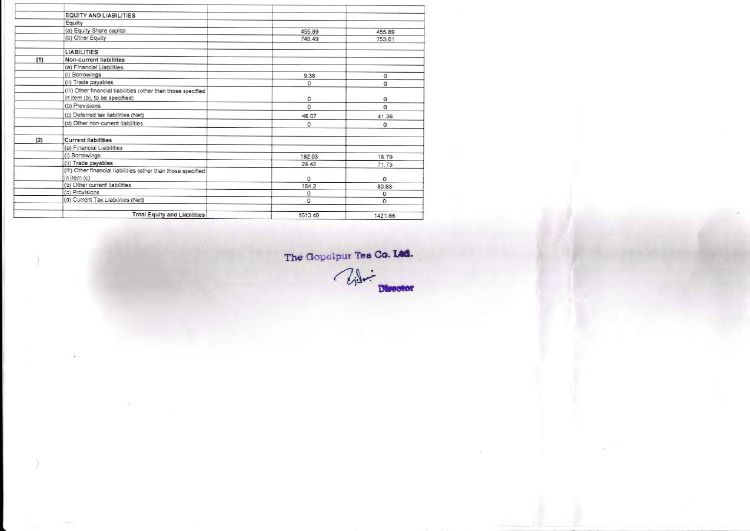|     | EQUITY AND LIABILITIES                                                                         |         |         |
|-----|------------------------------------------------------------------------------------------------|---------|---------|
|     | Equity                                                                                         |         |         |
|     | (a) Equity Share capital                                                                       | 455.89  | 455.89  |
|     | (b) Other Equity                                                                               | 746.49  | 753.01  |
|     | <b>LIABILITIES</b>                                                                             |         |         |
| (1) | Non-current liabilities                                                                        |         |         |
|     | (a) Financial Liabilities                                                                      |         |         |
|     | (i) Borrowings                                                                                 | 9.38    | ٥       |
|     | (ii) Trade payables                                                                            | 0       | 0       |
|     | (iii) Other financial liabilities (other than those specified<br>in item (b), to be specified) | 0       | 0       |
|     | (b) Provisions                                                                                 | 0       | 0       |
|     | (c) Deferred tax liabilities (Net)                                                             | 46.07   | 41.36   |
|     | (d) Other non-current liabilities                                                              | 0       | 0       |
| (2) | <b>Current liabilities</b>                                                                     |         |         |
|     | (a) Financial Liabilities                                                                      |         |         |
|     | (i) Borrowings                                                                                 | 162.03  | 18.79   |
|     | (ii) Trade payables                                                                            | 29.42   | 71.73   |
|     | (iii) Other financial liabilities (other than those specified<br>in item (c)                   | 0       | G       |
|     | (b) Other current liabilities                                                                  | 164.2   | 80.88   |
|     | (c) Provisions                                                                                 | 0       | 0       |
|     | (d) Current Tax Liabilities (Net)                                                              | 0       | 0       |
|     | <b>Total Equity and Liabilities</b>                                                            | 1613.48 | 1421.66 |

The Gopalpur Tea Co. Ltd.

Uil Director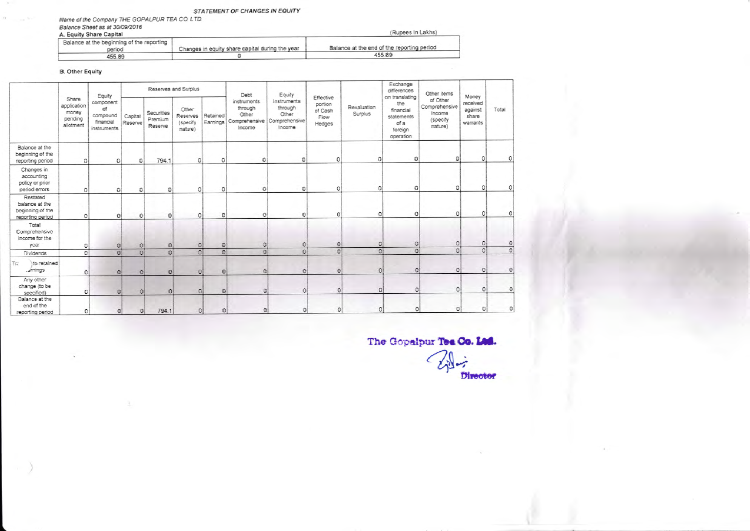# STATEMENT OF CHANGES IN EQUITY

Name of the Company THE GOPALPUR TEA CO. LTD. Balance Sheet as at 30/09/2016

| A. Equity Share Capital                             |                                                 | (Rupees in Lakhs)                          |  |  |  |
|-----------------------------------------------------|-------------------------------------------------|--------------------------------------------|--|--|--|
| Balance at the beginning of the reporting<br>period | Changes in equity share capital during the year | Balance at the end of the reporting period |  |  |  |
| 455.89                                              |                                                 | 455.89                                     |  |  |  |

**B.** Other Equity

|                                                                    | Share<br>application<br>money<br>pending<br>allotment | Equity<br>component<br>of<br>compound<br>financial<br>instruments | Reserves and Surplus |                                  |                                          | Debt                 | Equity                                                                   |                                           |                                                   | Exchange<br>differences | Other items                                                                      |                                                            |                                                   |                |
|--------------------------------------------------------------------|-------------------------------------------------------|-------------------------------------------------------------------|----------------------|----------------------------------|------------------------------------------|----------------------|--------------------------------------------------------------------------|-------------------------------------------|---------------------------------------------------|-------------------------|----------------------------------------------------------------------------------|------------------------------------------------------------|---------------------------------------------------|----------------|
|                                                                    |                                                       |                                                                   | Capital<br>Reserve   | Securities<br>Premium<br>Reserve | Other<br>Reserves<br>(specify<br>nature) | Retained<br>Earnings | instruments<br>through<br>Other<br>Comprehensive Comprehensive<br>Income | Instruments<br>through<br>Other<br>Income | Effective<br>portion<br>of Cash<br>Flow<br>Hedges | Revaluation<br>Surplus  | on translating<br>the<br>financial<br>statements<br>of a<br>foreign<br>operation | of Other<br>Comprehensive<br>Income<br>(specify<br>nature) | Money<br>received<br>against<br>share<br>warrants | Total          |
| Balance at the<br>beginning of the<br>reporting period             | 0                                                     | $\Omega$                                                          | 0                    | 794.1                            | 0                                        | ٥                    | 0                                                                        | $\circ$                                   | 0                                                 | Û                       | ۵                                                                                | 0                                                          | 0                                                 |                |
| Changes in<br>accounting<br>policy or prior<br>period errors       |                                                       | ۵I                                                                |                      | $\Omega$                         | o                                        | Ω                    | 0                                                                        | 01                                        | 0                                                 | $\circ$                 | 0                                                                                | 0                                                          | 0                                                 | ٥l             |
| Restated<br>balance at the<br>beginning of the<br>reporting period | 0                                                     | $\Omega$                                                          | $\mathbf C$          | 0                                |                                          | ٥                    | 0                                                                        | $\Omega$                                  | $\Omega$                                          | 0                       | 0                                                                                | $\circ$                                                    | O                                                 | O              |
| Total<br>Comprehensive<br>Income for the<br>year                   | 0                                                     | o                                                                 | $\Omega$             | $\Omega$                         | $\circ$                                  | O                    | $\Omega$                                                                 | $\circ$                                   | $\Omega$                                          | 0                       | $\circ$                                                                          | $\circ$                                                    | $\mathbb{C}$                                      | 0              |
| Dividends                                                          | $\Omega$                                              | $\Omega$                                                          | $\Omega$             | $\Omega$                         | $\Omega$                                 | 0                    | $\Omega$                                                                 | $\Omega$                                  | $\Omega$                                          | $\circ$                 | $\circ$                                                                          | $\overline{0}$                                             | 0                                                 | $\overline{0}$ |
| Tra<br>to retained<br>.dmings                                      | $\Omega$                                              | $\Omega$                                                          | $\Omega$             | $\mathbf{0}$                     | 0 <sup>1</sup>                           | $\Omega$             | $\circ$                                                                  | $\circ$                                   | $\circ$                                           | $\circ$                 | $\circ$                                                                          | $\circ$                                                    | c                                                 | c              |
| Any other<br>change (to be<br>specified)                           | 0                                                     | $\Omega$                                                          | $\Omega$             | $\Omega$                         | C.                                       | o                    | $\Omega$                                                                 | 0                                         | $\circ$                                           | $\circ$                 | $\circ$                                                                          | $\circ$                                                    | $\circ$                                           | O              |
| Balance at the<br>end of the<br>conoding porod                     | n.                                                    | $\Omega$                                                          | n!                   | <b>7941</b>                      | $\Omega$                                 | $\Omega$             | $\Omega$                                                                 | $\Omega$                                  | $\Omega$                                          | $\circ$                 | $\circ$                                                                          | $\circ$                                                    | $\circ$                                           | 0              |

The Gopalpur Tee Co. Lad.

 $C_1$